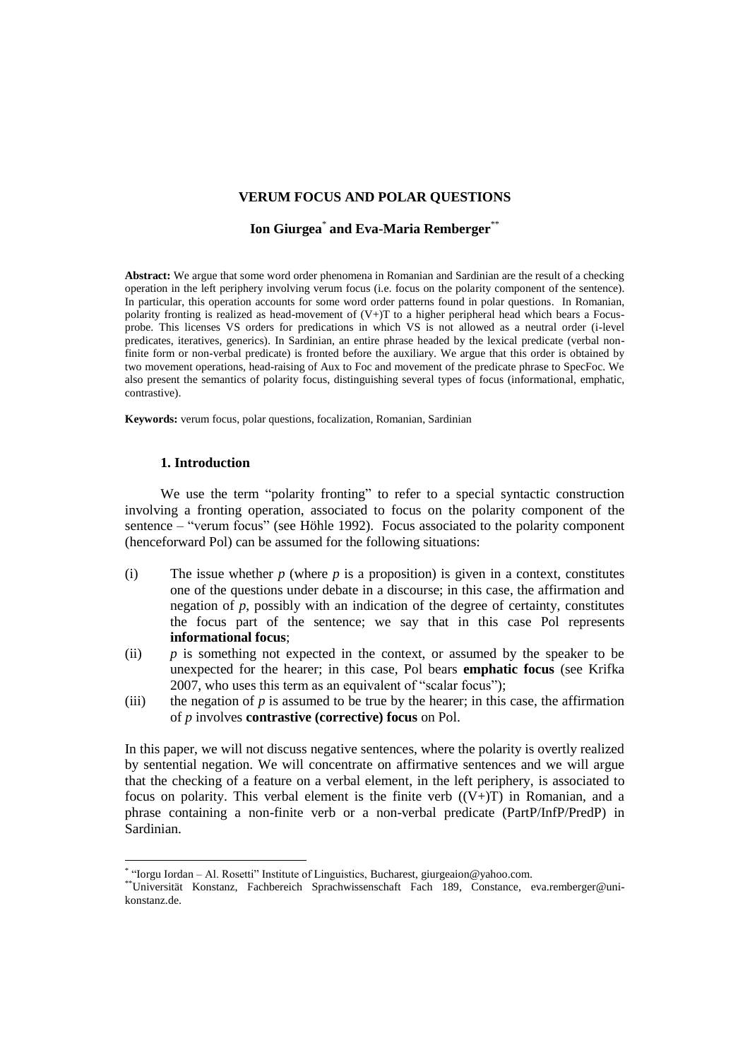### **VERUM FOCUS AND POLAR QUESTIONS**

# **Ion Giurgea**\* **and Eva-Maria Remberger**\*\*

**Abstract:** We argue that some word order phenomena in Romanian and Sardinian are the result of a checking operation in the left periphery involving verum focus (i.e. focus on the polarity component of the sentence). In particular, this operation accounts for some word order patterns found in polar questions. In Romanian, polarity fronting is realized as head-movement of  $(V+)T$  to a higher peripheral head which bears a Focusprobe. This licenses VS orders for predications in which VS is not allowed as a neutral order (i-level predicates, iteratives, generics). In Sardinian, an entire phrase headed by the lexical predicate (verbal nonfinite form or non-verbal predicate) is fronted before the auxiliary. We argue that this order is obtained by two movement operations, head-raising of Aux to Foc and movement of the predicate phrase to SpecFoc. We also present the semantics of polarity focus, distinguishing several types of focus (informational, emphatic, contrastive).

**Keywords:** verum focus, polar questions, focalization, Romanian, Sardinian

### **1. Introduction**

 $\overline{a}$ 

We use the term "polarity fronting" to refer to a special syntactic construction involving a fronting operation, associated to focus on the polarity component of the sentence – "verum focus" (see Höhle 1992). Focus associated to the polarity component (henceforward Pol) can be assumed for the following situations:

- (i) The issue whether  $p$  (where  $p$  is a proposition) is given in a context, constitutes one of the questions under debate in a discourse; in this case, the affirmation and negation of  $p$ , possibly with an indication of the degree of certainty, constitutes the focus part of the sentence; we say that in this case Pol represents **informational focus**;
- (ii) *p* is something not expected in the context, or assumed by the speaker to be unexpected for the hearer; in this case, Pol bears **emphatic focus** (see Krifka 2007, who uses this term as an equivalent of "scalar focus");
- (iii) the negation of  $p$  is assumed to be true by the hearer; in this case, the affirmation of *p* involves **contrastive (corrective) focus** on Pol.

In this paper, we will not discuss negative sentences, where the polarity is overtly realized by sentential negation. We will concentrate on affirmative sentences and we will argue that the checking of a feature on a verbal element, in the left periphery, is associated to focus on polarity. This verbal element is the finite verb  $((V+)T)$  in Romanian, and a phrase containing a non-finite verb or a non-verbal predicate (PartP/InfP/PredP) in Sardinian.

<sup>\*</sup> "Iorgu Iordan – Al. Rosetti" Institute of Linguistics, Bucharest, giurgeaion@yahoo.com.

<sup>\*\*</sup>Universität Konstanz, Fachbereich Sprachwissenschaft Fach 189, Constance, eva.remberger@unikonstanz.de.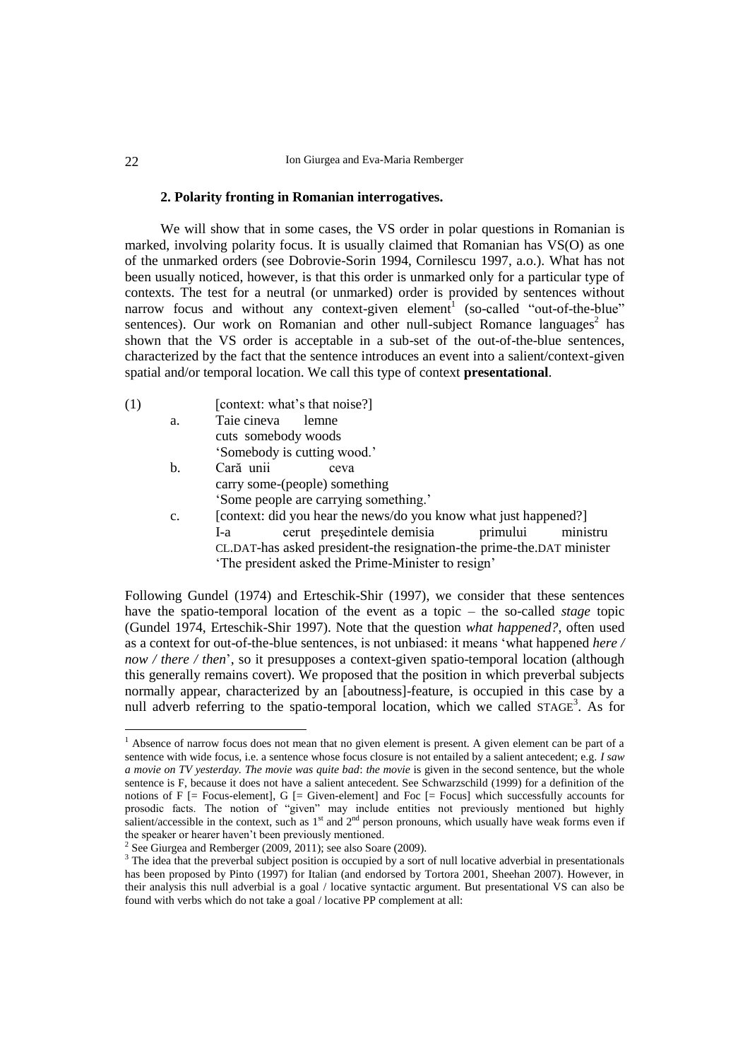#### **2. Polarity fronting in Romanian interrogatives.**

We will show that in some cases, the VS order in polar questions in Romanian is marked, involving polarity focus. It is usually claimed that Romanian has VS(O) as one of the unmarked orders (see Dobrovie-Sorin 1994, Cornilescu 1997, a.o.). What has not been usually noticed, however, is that this order is unmarked only for a particular type of contexts. The test for a neutral (or unmarked) order is provided by sentences without narrow focus and without any context-given element<sup>1</sup> (so-called "out-of-the-blue" sentences). Our work on Romanian and other null-subject Romance languages<sup>2</sup> has shown that the VS order is acceptable in a sub-set of the out-of-the-blue sentences, characterized by the fact that the sentence introduces an event into a salient/context-given spatial and/or temporal location. We call this type of context **presentational**.

| (1) |                | [context: what's that noise?]                                         |
|-----|----------------|-----------------------------------------------------------------------|
|     | a.             | Taie cineva<br>lemne                                                  |
|     |                | cuts somebody woods                                                   |
|     |                | 'Somebody is cutting wood.'                                           |
|     | b.             | Cară unii<br>ceva                                                     |
|     |                | carry some-(people) something                                         |
|     |                | 'Some people are carrying something.'                                 |
|     | $\mathbf{c}$ . | [context: did you hear the news/do you know what just happened?]      |
|     |                | cerut președintele demisia<br>primului<br>ministru<br>I-a             |
|     |                | CL.DAT-has asked president-the resignation-the prime-the.DAT minister |
|     |                | 'The president asked the Prime-Minister to resign'                    |
|     |                |                                                                       |

Following Gundel (1974) and Erteschik-Shir (1997), we consider that these sentences have the spatio-temporal location of the event as a topic – the so-called *stage* topic (Gundel 1974, Erteschik-Shir 1997). Note that the question *what happened?*, often used as a context for out-of-the-blue sentences, is not unbiased: it means 'what happened *here / now / there / then*', so it presupposes a context-given spatio-temporal location (although this generally remains covert). We proposed that the position in which preverbal subjects normally appear, characterized by an [aboutness]-feature, is occupied in this case by a null adverb referring to the spatio-temporal location, which we called STAGE<sup>3</sup>. As for

<sup>&</sup>lt;sup>1</sup> Absence of narrow focus does not mean that no given element is present. A given element can be part of a sentence with wide focus, i.e. a sentence whose focus closure is not entailed by a salient antecedent; e.g. *I saw a movie on TV yesterday. The movie was quite bad*: *the movie* is given in the second sentence, but the whole sentence is F, because it does not have a salient antecedent. See Schwarzschild (1999) for a definition of the notions of  $F$  [= Focus-element], G [= Given-element] and Foc [= Focus] which successfully accounts for prosodic facts. The notion of "given" may include entities not previously mentioned but highly salient/accessible in the context, such as  $1<sup>st</sup>$  and  $2<sup>nd</sup>$  person pronouns, which usually have weak forms even if the speaker or hearer haven't been previously mentioned.

 $2^{2}$  See Giurgea and Remberger (2009, 2011); see also Soare (2009).

<sup>&</sup>lt;sup>3</sup> The idea that the preverbal subject position is occupied by a sort of null locative adverbial in presentationals has been proposed by Pinto (1997) for Italian (and endorsed by Tortora 2001, Sheehan 2007). However, in their analysis this null adverbial is a goal / locative syntactic argument. But presentational VS can also be found with verbs which do not take a goal / locative PP complement at all: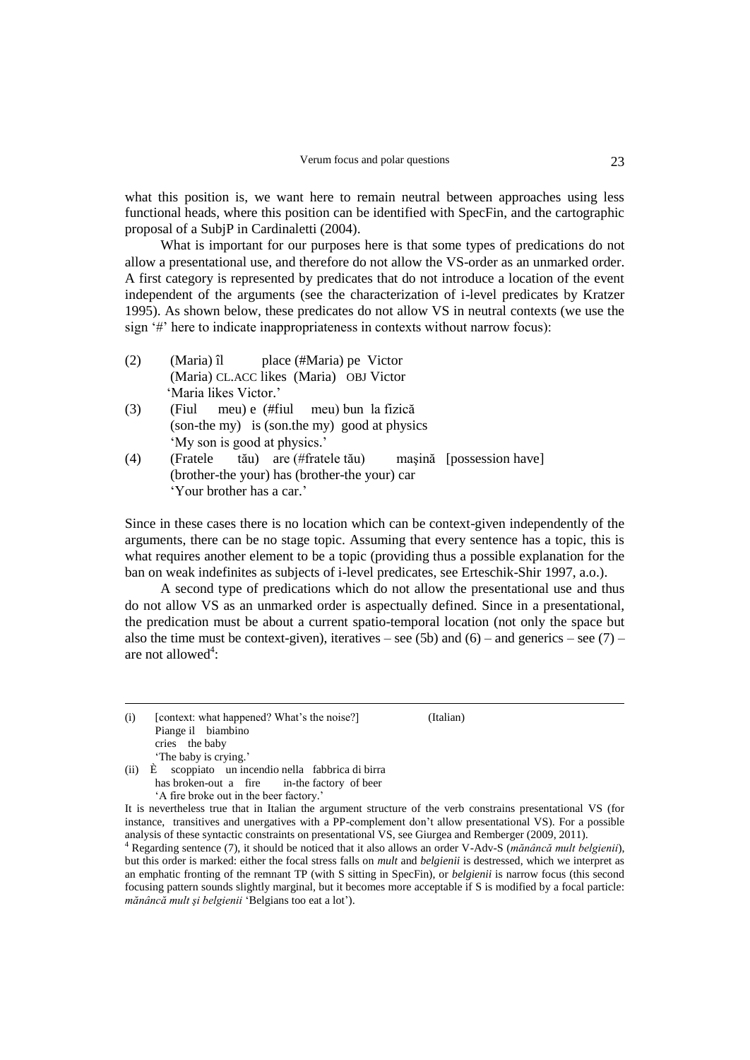what this position is, we want here to remain neutral between approaches using less functional heads, where this position can be identified with SpecFin, and the cartographic proposal of a SubjP in Cardinaletti (2004).

What is important for our purposes here is that some types of predications do not allow a presentational use, and therefore do not allow the VS-order as an unmarked order. A first category is represented by predicates that do not introduce a location of the event independent of the arguments (see the characterization of i-level predicates by Kratzer 1995). As shown below, these predicates do not allow VS in neutral contexts (we use the sign '#' here to indicate inappropriateness in contexts without narrow focus):

- <span id="page-2-0"></span>(2) (Maria) îl place (#Maria) pe Victor (Maria) CL.ACC likes (Maria) OBJ Victor 'Maria likes Victor.'
- <span id="page-2-1"></span>(3) (Fiul meu) e (#fiul meu) bun la fizică (son-the my) is (son.the my) good at physics 'My son is good at physics.'
- <span id="page-2-2"></span>(4) (Fratele tău) are (#fratele tău) maşină [possession have] (brother-the your) has (brother-the your) car 'Your brother has a car.'

Since in these cases there is no location which can be context-given independently of the arguments, there can be no stage topic. Assuming that every sentence has a topic, this is what requires another element to be a topic (providing thus a possible explanation for the ban on weak indefinites as subjects of i-level predicates, see Erteschik-Shir 1997, a.o.).

A second type of predications which do not allow the presentational use and thus do not allow VS as an unmarked order is aspectually defined. Since in a presentational, the predication must be about a current spatio-temporal location (not only the space but also the time must be context-given), iteratives – see (5b) and [\(6\)](#page-3-0) – and generics – see [\(7\)](#page-3-1) – are not allowed<sup>4</sup>:

| (i) | [context: what happened? What's the noise?] | (Italian) |
|-----|---------------------------------------------|-----------|
|     | Piange il biambino                          |           |
|     | cries the baby                              |           |
|     | 'The baby is crying.'                       |           |
|     |                                             |           |

1

(ii) È scoppiato un incendio nella fabbrica di birra has broken-out a fire in-the factory of beer 'A fire broke out in the beer factory.'

It is nevertheless true that in Italian the argument structure of the verb constrains presentational VS (for instance, transitives and unergatives with a PP-complement don't allow presentational VS). For a possible analysis of these syntactic constraints on presentational VS, see Giurgea and Remberger (2009, 2011).

<sup>4</sup> Regarding sentence [\(7\),](#page-3-1) it should be noticed that it also allows an order V-Adv-S (*mănâncă mult belgienii*), but this order is marked: either the focal stress falls on *mult* and *belgienii* is destressed, which we interpret as an emphatic fronting of the remnant TP (with S sitting in SpecFin), or *belgienii* is narrow focus (this second focusing pattern sounds slightly marginal, but it becomes more acceptable if S is modified by a focal particle: *mănâncă mult şi belgienii* 'Belgians too eat a lot').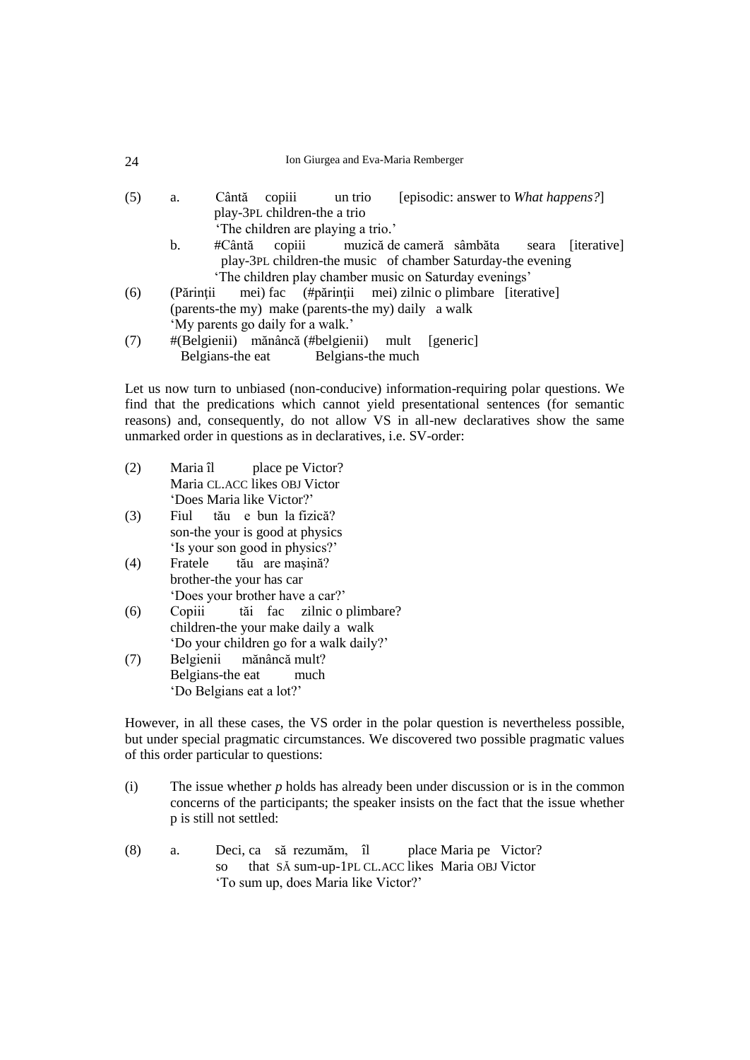- (5) a. Cântă copiii un trio [episodic: answer to *What happens?*] play-3PL children-the a trio 'The children are playing a trio.'
	- b. #Cântă copiii muzică de cameră sâmbăta seara [iterative] play-3PL children-the music of chamber Saturday-the evening 'The children play chamber music on Saturday evenings'
- <span id="page-3-0"></span>(6) (Părinţii mei) fac (#părinţii mei) zilnic o plimbare [iterative] (parents-the my) make (parents-the my) daily a walk 'My parents go daily for a walk.'
- <span id="page-3-1"></span>(7) #(Belgienii) mănâncă (#belgienii) mult [generic] Belgians-the eat Belgians-the much

Let us now turn to unbiased (non-conducive) information-requiring polar questions. We find that the predications which cannot yield presentational sentences (for semantic reasons) and, consequently, do not allow VS in all-new declaratives show the same unmarked order in questions as in declaratives, i.e. SV-order:

- [\(2\)](#page-2-0) Maria îl place pe Victor? Maria CL.ACC likes OBJ Victor 'Does Maria like Victor?'
- [\(3\)](#page-2-1) Fiul tău e bun la fizică? son-the your is good at physics 'Is your son good in physics?'
- [\(4\)](#page-2-2) Fratele tău are maşină? brother-the your has car 'Does your brother have a car?'
- [\(6\)](#page-3-0) Copiii tăi fac zilnic o plimbare? children-the your make daily a walk 'Do your children go for a walk daily?'
- [\(7\)](#page-3-1) Belgienii mănâncă mult? Belgians-the eat much 'Do Belgians eat a lot?'

However, in all these cases, the VS order in the polar question is nevertheless possible, but under special pragmatic circumstances. We discovered two possible pragmatic values of this order particular to questions:

- (i) The issue whether *p* holds has already been under discussion or is in the common concerns of the participants; the speaker insists on the fact that the issue whether p is still not settled:
- <span id="page-3-2"></span>(8) a. Deci, ca să rezumăm, îl place Maria pe Victor? so that SĂ sum-up-1PL CL.ACC likes Maria OBJ Victor 'To sum up, does Maria like Victor?'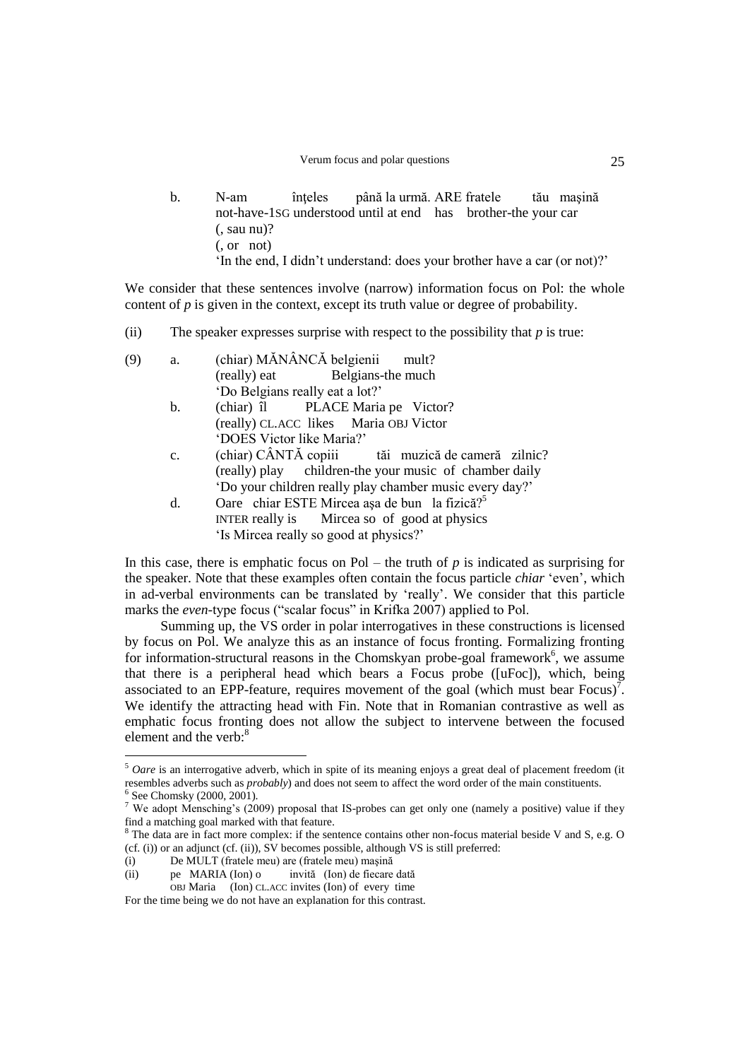b. N-am înțeles până la urmă. ARE fratele tău mașină not-have-1SG understood until at end has brother-the your car (, sau nu)? (, or not) 'In the end, I didn't understand: does your brother have a car (or not)?'

We consider that these sentences involve (narrow) information focus on Pol: the whole content of  $p$  is given in the context, except its truth value or degree of probability.

(ii) The speaker expresses surprise with respect to the possibility that  $p$  is true:

<span id="page-4-0"></span>

| (9) | a.                              | (chiar) MĂNÂNCĂ belgienii mult?                         |  |  |  |  |
|-----|---------------------------------|---------------------------------------------------------|--|--|--|--|
|     |                                 | (really) eat Belgians-the much                          |  |  |  |  |
|     | 'Do Belgians really eat a lot?' |                                                         |  |  |  |  |
|     | b.                              | (chiar) îl PLACE Maria pe Victor?                       |  |  |  |  |
|     |                                 | (really) CL.ACC likes Maria OBJ Victor                  |  |  |  |  |
|     |                                 | 'DOES Victor like Maria?'                               |  |  |  |  |
|     | c.                              | (chiar) CÂNTĂ copiii tăi muzică de cameră zilnic?       |  |  |  |  |
|     |                                 | (really) play children-the your music of chamber daily  |  |  |  |  |
|     |                                 | 'Do your children really play chamber music every day?' |  |  |  |  |
|     | d.                              | Oare chiar ESTE Mircea așa de bun la fizică?            |  |  |  |  |
|     |                                 | INTER really is Mircea so of good at physics            |  |  |  |  |
|     |                                 | 'Is Mircea really so good at physics?'                  |  |  |  |  |
|     |                                 |                                                         |  |  |  |  |

In this case, there is emphatic focus on Pol – the truth of *p* is indicated as surprising for the speaker. Note that these examples often contain the focus particle *chiar* 'even', which in ad-verbal environments can be translated by 'really'. We consider that this particle marks the *even-*type focus ("scalar focus" in Krifka 2007) applied to Pol.

Summing up, the VS order in polar interrogatives in these constructions is licensed by focus on Pol. We analyze this as an instance of focus fronting. Formalizing fronting for information-structural reasons in the Chomskyan probe-goal framework<sup>6</sup>, we assume that there is a peripheral head which bears a Focus probe ([uFoc]), which, being associated to an EPP-feature, requires movement of the goal (which must bear Focus)<sup>7</sup>. We identify the attracting head with Fin. Note that in Romanian contrastive as well as emphatic focus fronting does not allow the subject to intervene between the focused element and the verb:<sup>8</sup>

<sup>&</sup>lt;sup>5</sup> *Oare* is an interrogative adverb, which in spite of its meaning enjoys a great deal of placement freedom (it resembles adverbs such as *probably*) and does not seem to affect the word order of the main constituents. 6 See Chomsky (2000, 2001).

<sup>7</sup> We adopt Mensching's (2009) proposal that IS-probes can get only one (namely a positive) value if they find a matching goal marked with that feature.

<sup>&</sup>lt;sup>8</sup> The data are in fact more complex: if the sentence contains other non-focus material beside V and S, e.g. O (cf. (i)) or an adjunct (cf. (ii)), SV becomes possible, although VS is still preferred:

<sup>(</sup>i) De MULT (fratele meu) are (fratele meu) maşină

<sup>(</sup>ii) pe MARIA (Ion) o invită (Ion) de fiecare dată

OBJ Maria (Ion) CL.ACC invites (Ion) of every time

For the time being we do not have an explanation for this contrast.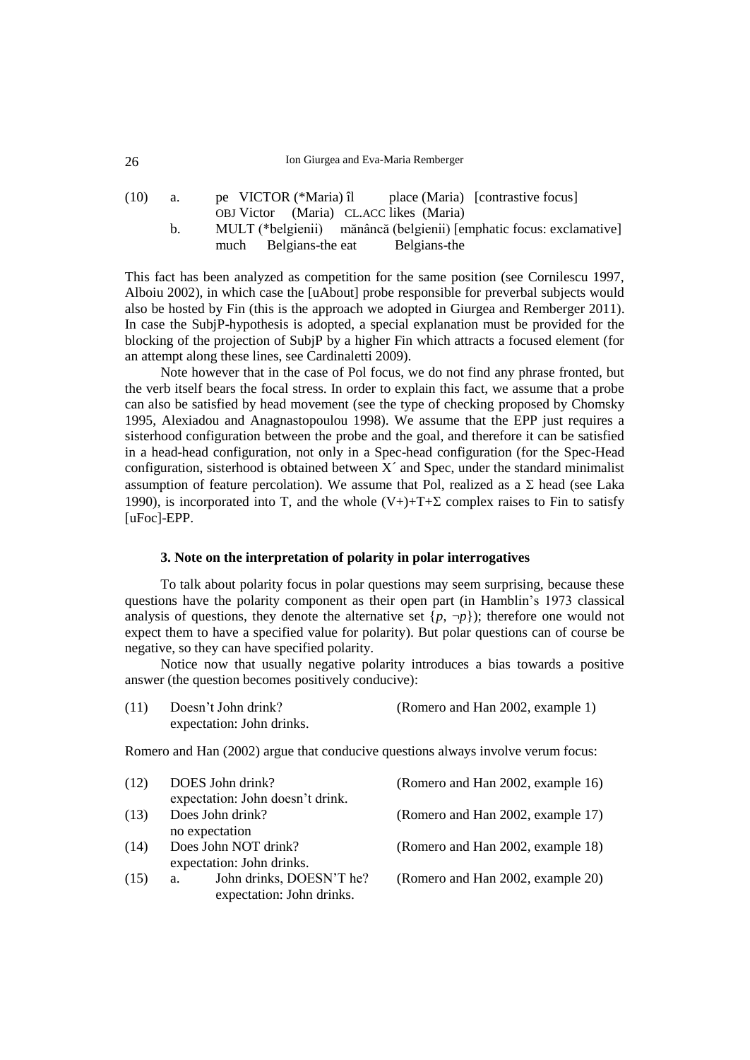(10) a. pe VICTOR (\*Maria) îl place (Maria) [contrastive focus] OBJ Victor (Maria) CL.ACC likes (Maria) b. MULT (\*belgienii) mănâncă (belgienii) [emphatic focus: exclamative] much Belgians-the eat Belgians-the

This fact has been analyzed as competition for the same position (see Cornilescu 1997, Alboiu 2002), in which case the [uAbout] probe responsible for preverbal subjects would also be hosted by Fin (this is the approach we adopted in Giurgea and Remberger 2011). In case the SubjP-hypothesis is adopted, a special explanation must be provided for the blocking of the projection of SubjP by a higher Fin which attracts a focused element (for an attempt along these lines, see Cardinaletti 2009).

Note however that in the case of Pol focus, we do not find any phrase fronted, but the verb itself bears the focal stress. In order to explain this fact, we assume that a probe can also be satisfied by head movement (see the type of checking proposed by Chomsky 1995, Alexiadou and Anagnastopoulou 1998). We assume that the EPP just requires a sisterhood configuration between the probe and the goal, and therefore it can be satisfied in a head-head configuration, not only in a Spec-head configuration (for the Spec-Head configuration, sisterhood is obtained between  $X'$  and Spec, under the standard minimalist assumption of feature percolation). We assume that Pol, realized as a  $\Sigma$  head (see Laka 1990), is incorporated into T, and the whole  $(V+) + T + \Sigma$  complex raises to Fin to satisfy [uFoc]-EPP.

## **3. Note on the interpretation of polarity in polar interrogatives**

To talk about polarity focus in polar questions may seem surprising, because these questions have the polarity component as their open part (in Hamblin's 1973 classical analysis of questions, they denote the alternative set  $\{p, \neg p\}$ ; therefore one would not expect them to have a specified value for polarity). But polar questions can of course be negative, so they can have specified polarity.

Notice now that usually negative polarity introduces a bias towards a positive answer (the question becomes positively conducive):

| (11) | Doesn't John drink?       | (Romero and Han 2002, example 1) |  |
|------|---------------------------|----------------------------------|--|
|      | expectation: John drinks. |                                  |  |

Romero and Han (2002) argue that conducive questions always involve verum focus:

| (12) | DOES John drink?                 | (Romero and Han 2002, example 16) |
|------|----------------------------------|-----------------------------------|
|      | expectation: John doesn't drink. |                                   |
| (13) | Does John drink?                 | (Romero and Han 2002, example 17) |
|      | no expectation                   |                                   |
| (14) | Does John NOT drink?             | (Romero and Han 2002, example 18) |
|      | expectation: John drinks.        |                                   |
| (15) | John drinks, DOESN'T he?<br>a.   | (Romero and Han 2002, example 20) |
|      | expectation: John drinks.        |                                   |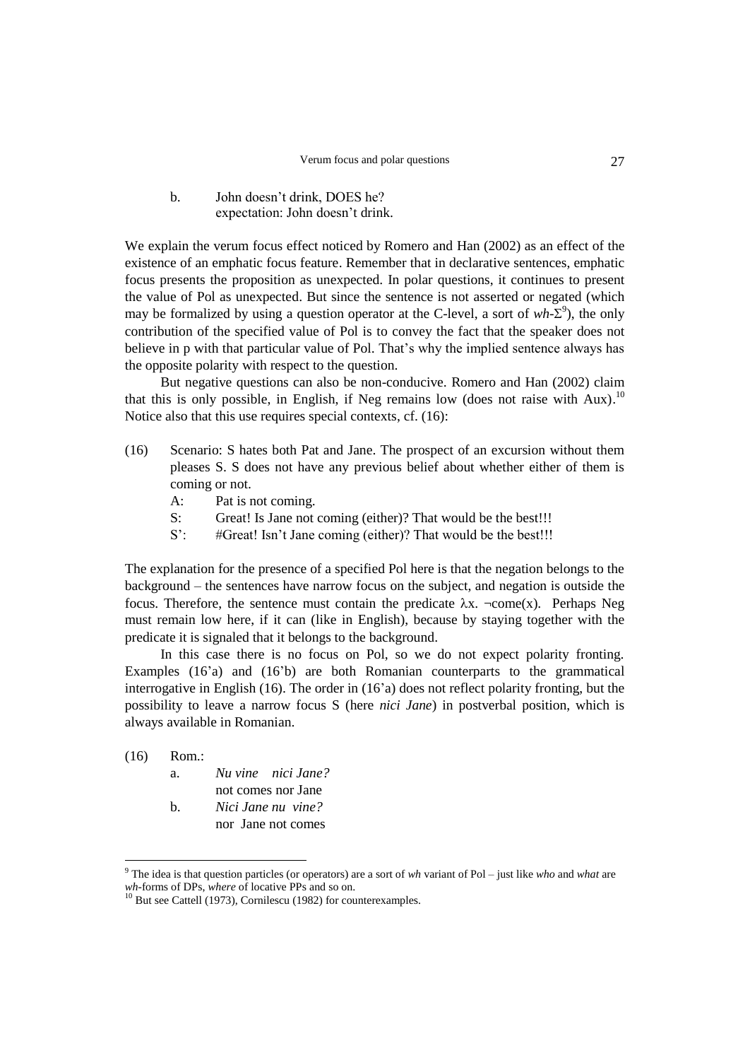# <span id="page-6-1"></span>b. John doesn't drink, DOES he? expectation: John doesn't drink.

We explain the verum focus effect noticed by Romero and Han (2002) as an effect of the existence of an emphatic focus feature. Remember that in declarative sentences, emphatic focus presents the proposition as unexpected. In polar questions, it continues to present the value of Pol as unexpected. But since the sentence is not asserted or negated (which may be formalized by using a question operator at the C-level, a sort of  $wh-\Sigma^9$ ), the only contribution of the specified value of Pol is to convey the fact that the speaker does not believe in p with that particular value of Pol. That's why the implied sentence always has the opposite polarity with respect to the question.

But negative questions can also be non-conducive. Romero and Han (2002) claim that this is only possible, in English, if Neg remains low (does not raise with Aux).<sup>10</sup> Notice also that this use requires special contexts, cf. (16):

- <span id="page-6-0"></span>(16) Scenario: S hates both Pat and Jane. The prospect of an excursion without them pleases S. S does not have any previous belief about whether either of them is coming or not.
	- A: Pat is not coming.
	- S: Great! Is Jane not coming (either)? That would be the best!!!
	- S': #Great! Isn't Jane coming (either)? That would be the best!!!

The explanation for the presence of a specified Pol here is that the negation belongs to the background – the sentences have narrow focus on the subject, and negation is outside the focus. Therefore, the sentence must contain the predicate  $\lambda x$ .  $\neg$ come(x). Perhaps Neg must remain low here, if it can (like in English), because by staying together with the predicate it is signaled that it belongs to the background.

In this case there is no focus on Pol, so we do not expect polarity fronting. Examples (16'a) and (16'b) are both Romanian counterparts to the grammatical interrogative in English (16). The order in (16'a) does not reflect polarity fronting, but the possibility to leave a narrow focus S (here *nici Jane*) in postverbal position, which is always available in Romanian.

[\(16\)](#page-6-0) Rom.:

 $\overline{a}$ 

a. *Nu vine nici Jane?* 

 not comes nor Jane b. *Nici Jane nu vine?* nor Jane not comes

<sup>9</sup> The idea is that question particles (or operators) are a sort of *wh* variant of Pol – just like *who* and *what* are *wh-*forms of DPs, *where* of locative PPs and so on.

<sup>&</sup>lt;sup>10</sup> But see Cattell (1973), Cornilescu (1982) for counterexamples.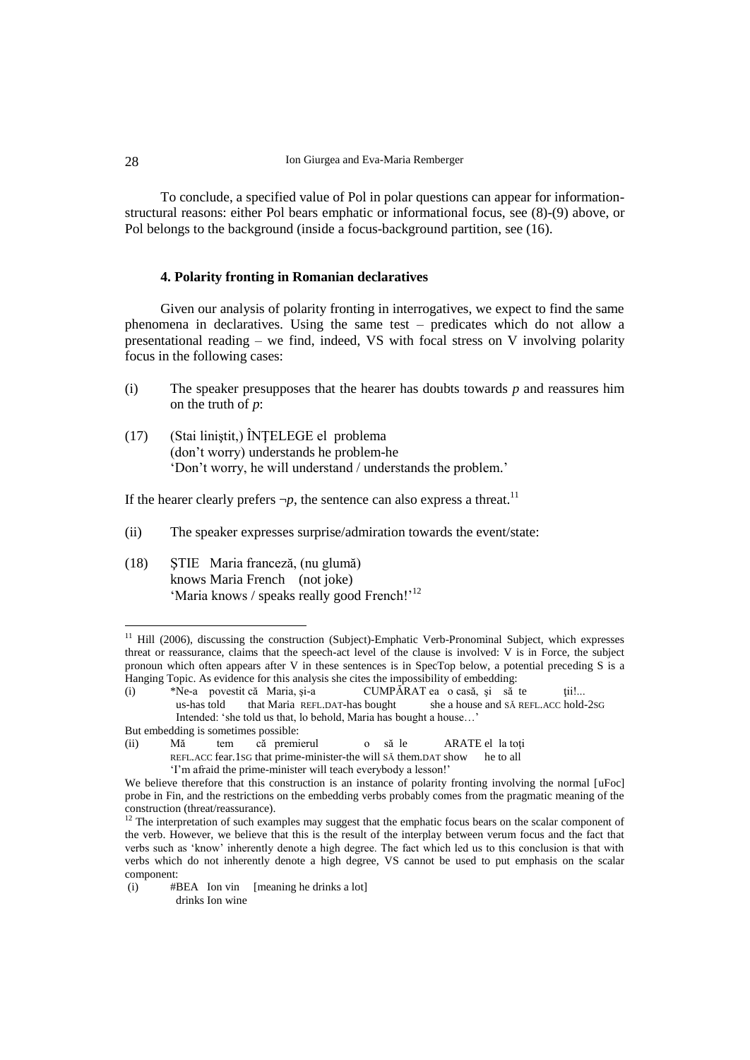To conclude, a specified value of Pol in polar questions can appear for informationstructural reasons: either Pol bears emphatic or informational focus, see [\(8\)](#page-3-2)[-\(9\)](#page-4-0) above, or Pol belongs to the background (inside a focus-background partition, see [\(16\).](#page-6-0)

# **4. Polarity fronting in Romanian declaratives**

Given our analysis of polarity fronting in interrogatives, we expect to find the same phenomena in declaratives. Using the same test – predicates which do not allow a presentational reading – we find, indeed, VS with focal stress on V involving polarity focus in the following cases:

- (i) The speaker presupposes that the hearer has doubts towards *p* and reassures him on the truth of *p*:
- (17) (Stai liniştit,) ÎNŢELEGE el problema (don't worry) understands he problem-he 'Don't worry, he will understand / understands the problem.'

If the hearer clearly prefers  $\neg p$ , the sentence can also express a threat.<sup>11</sup>

- (ii) The speaker expresses surprise/admiration towards the event/state:
- (18) ŞTIE Maria franceză, (nu glumă) knows Maria French (not joke) 'Maria knows / speaks really good French!'<sup>12</sup>

<sup>&</sup>lt;sup>11</sup> Hill (2006), discussing the construction (Subject)-Emphatic Verb-Pronominal Subject, which expresses threat or reassurance, claims that the speech-act level of the clause is involved: V is in Force, the subject pronoun which often appears after V in these sentences is in SpecTop below, a potential preceding S is a Hanging Topic. As evidence for this analysis she cites the impossibility of embedding:

<sup>(</sup>i) \*Ne-a povestit că Maria, și-a CUMPĂRAT ea o casă, și să te tii!..<br>us-has told that Maria REFL.DAT-has bought she a house and SĂ REFL.ACC hold us-has told that Maria REFL.DAT-has bought she a house and SĂ REFL.ACC hold-2SG Intended: 'she told us that, lo behold, Maria has bought a house…'

But embedding is sometimes possible:

<sup>(</sup>ii) Mă tem că premierul o să le ARATE el la toţi REFL.ACC fear.1SG that prime-minister-the will SĂ them.DAT show he to all 'I'm afraid the prime-minister will teach everybody a lesson!'

We believe therefore that this construction is an instance of polarity fronting involving the normal [uFoc] probe in Fin, and the restrictions on the embedding verbs probably comes from the pragmatic meaning of the construction (threat/reassurance).

<sup>&</sup>lt;sup>12</sup> The interpretation of such examples may suggest that the emphatic focus bears on the scalar component of the verb. However, we believe that this is the result of the interplay between verum focus and the fact that verbs such as 'know' inherently denote a high degree. The fact which led us to this conclusion is that with verbs which do not inherently denote a high degree, VS cannot be used to put emphasis on the scalar component:

<sup>(</sup>i) #BEA Ion vin [meaning he drinks a lot] drinks Ion wine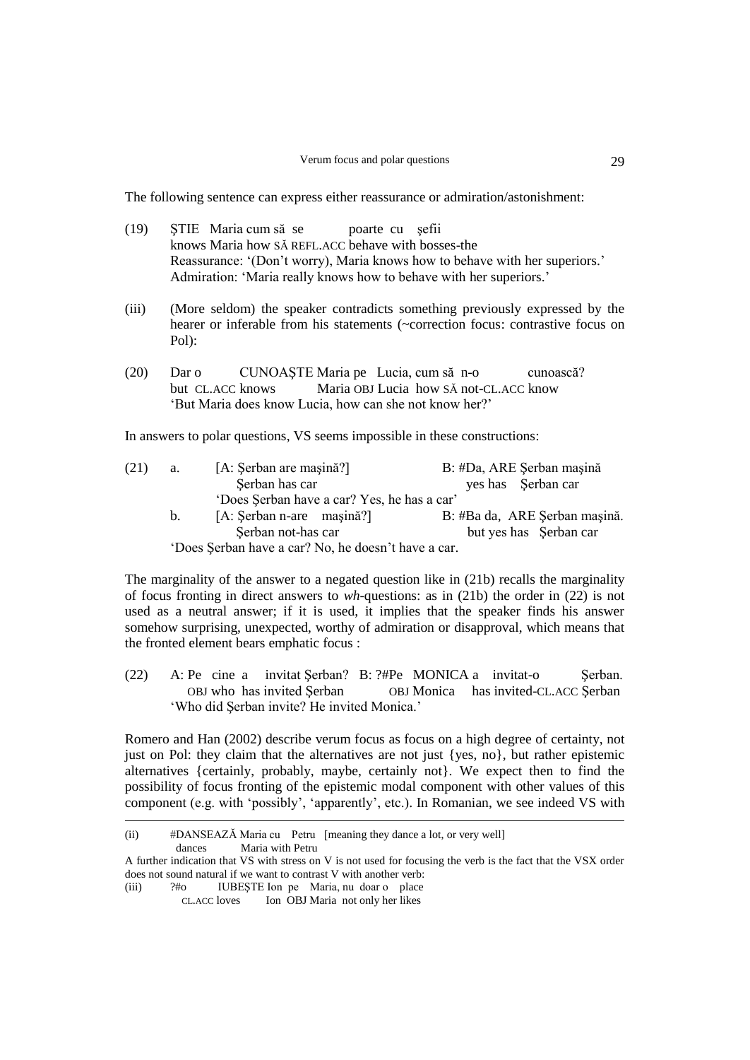The following sentence can express either reassurance or admiration/astonishment:

- (19) ŞTIE Maria cum să se poarte cu şefii knows Maria how SĂ REFL.ACC behave with bosses-the Reassurance: '(Don't worry), Maria knows how to behave with her superiors.' Admiration: 'Maria really knows how to behave with her superiors.'
- (iii) (More seldom) the speaker contradicts something previously expressed by the hearer or inferable from his statements (~correction focus: contrastive focus on Pol):
- (20) Dar o CUNOAŞTE Maria pe Lucia, cum să n-o cunoască? but CL.ACC knows Maria OBJ Lucia how SĂ not-CL.ACC know 'But Maria does know Lucia, how can she not know her?'

In answers to polar questions, VS seems impossible in these constructions:

| (21) | a.      | [A: Şerban are maşină?]                             | B: #Da, ARE Şerban maşină     |
|------|---------|-----------------------------------------------------|-------------------------------|
|      |         | Serban has car                                      | yes has Serban car            |
|      |         | 'Does Serban have a car? Yes, he has a car'         |                               |
|      | $b_{1}$ | [A: Şerban n-are maşină?]                           | B: #Ba da, ARE Şerban maşină. |
|      |         | Serban not-has car                                  | but yes has Serban car        |
|      |         | 'Does Şerban have a car? No, he doesn't have a car. |                               |

The marginality of the answer to a negated question like in (21b) recalls the marginality of focus fronting in direct answers to *wh*-questions: as in (21b) the order in [\(22\)](#page-8-0) is not used as a neutral answer; if it is used, it implies that the speaker finds his answer somehow surprising, unexpected, worthy of admiration or disapproval, which means that the fronted element bears emphatic focus :

<span id="page-8-0"></span>(22) A: Pe cine a invitat Serban? B:  $?$ #Pe MONICA a invitat-o Serban. OBJ who has invited Şerban OBJ Monica has invited-CL.ACC Şerban 'Who did Şerban invite? He invited Monica.'

Romero and Han (2002) describe verum focus as focus on a high degree of certainty, not just on Pol: they claim that the alternatives are not just {yes, no}, but rather epistemic alternatives {certainly, probably, maybe, certainly not}. We expect then to find the possibility of focus fronting of the epistemic modal component with other values of this component (e.g. with 'possibly', 'apparently', etc.). In Romanian, we see indeed VS with

<u>.</u>

<sup>(</sup>ii) #DANSEAZĂ Maria cu Petru [meaning they dance a lot, or very well] dances Maria with Petru

A further indication that VS with stress on V is not used for focusing the verb is the fact that the VSX order does not sound natural if we want to contrast V with another verb:

<sup>(</sup>iii) ?#o IUBEŞTE Ion pe Maria, nu doar o place

CL.ACC loves Ion OBJ Maria not only her likes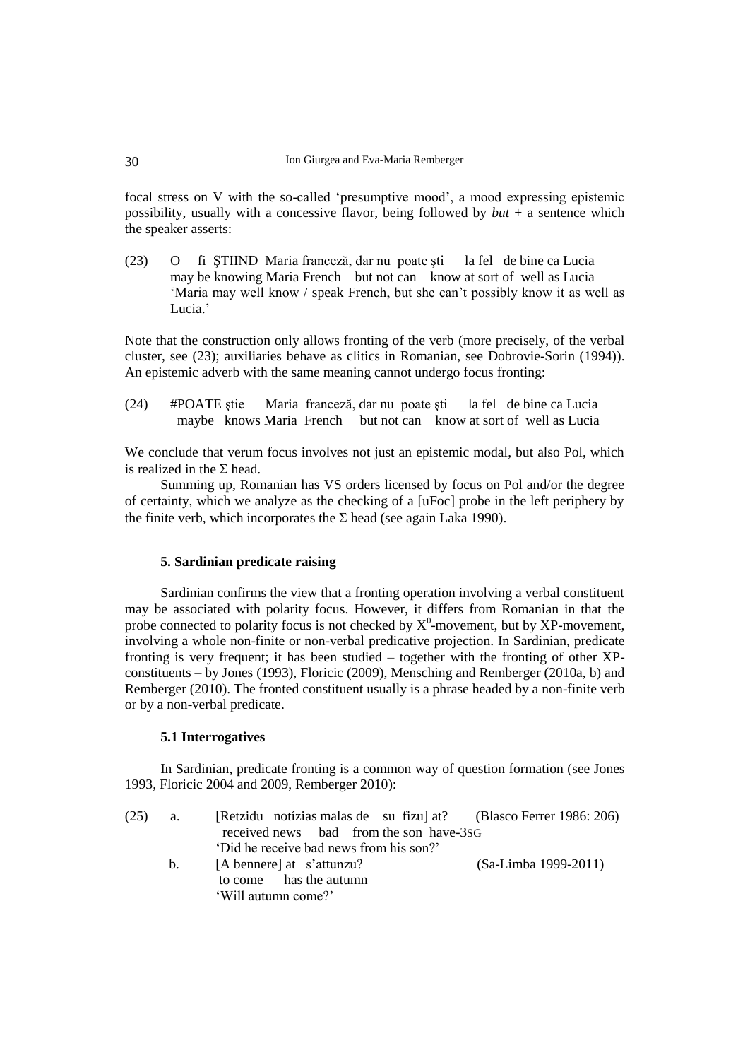focal stress on V with the so-called 'presumptive mood', a mood expressing epistemic possibility, usually with a concessive flavor, being followed by  $but + a$  sentence which the speaker asserts:

<span id="page-9-0"></span>(23) O fi ŞTIIND Maria franceză, dar nu poate şti la fel de bine ca Lucia may be knowing Maria French but not can know at sort of well as Lucia 'Maria may well know / speak French, but she can't possibly know it as well as Lucia.'

Note that the construction only allows fronting of the verb (more precisely, of the verbal cluster, see (23); auxiliaries behave as clitics in Romanian, see Dobrovie-Sorin (1994)). An epistemic adverb with the same meaning cannot undergo focus fronting:

(24) #POATE ştie Maria franceză, dar nu poate şti la fel de bine ca Lucia maybe knows Maria French but not can know at sort of well as Lucia

We conclude that verum focus involves not just an epistemic modal, but also Pol, which is realized in the  $\Sigma$  head.

Summing up, Romanian has VS orders licensed by focus on Pol and/or the degree of certainty, which we analyze as the checking of a [uFoc] probe in the left periphery by the finite verb, which incorporates the  $\Sigma$  head (see again Laka 1990).

### **5. Sardinian predicate raising**

Sardinian confirms the view that a fronting operation involving a verbal constituent may be associated with polarity focus. However, it differs from Romanian in that the probe connected to polarity focus is not checked by  $X^0$ -movement, but by XP-movement, involving a whole non-finite or non-verbal predicative projection. In Sardinian, predicate fronting is very frequent; it has been studied – together with the fronting of other XPconstituents – by Jones (1993), Floricic (2009), Mensching and Remberger (2010a, b) and Remberger (2010). The fronted constituent usually is a phrase headed by a non-finite verb or by a non-verbal predicate.

### **5.1 Interrogatives**

In Sardinian, predicate fronting is a common way of question formation (see Jones 1993, Floricic 2004 and 2009, Remberger 2010):

(25) a. [Retzidu notízias malas de su fizu] at? (Blasco Ferrer 1986: 206) received news bad from the son have-3SG 'Did he receive bad news from his son?' b. [A bennere] at s'attunzu? (Sa-Limba 1999-2011) to come has the autumn 'Will autumn come?'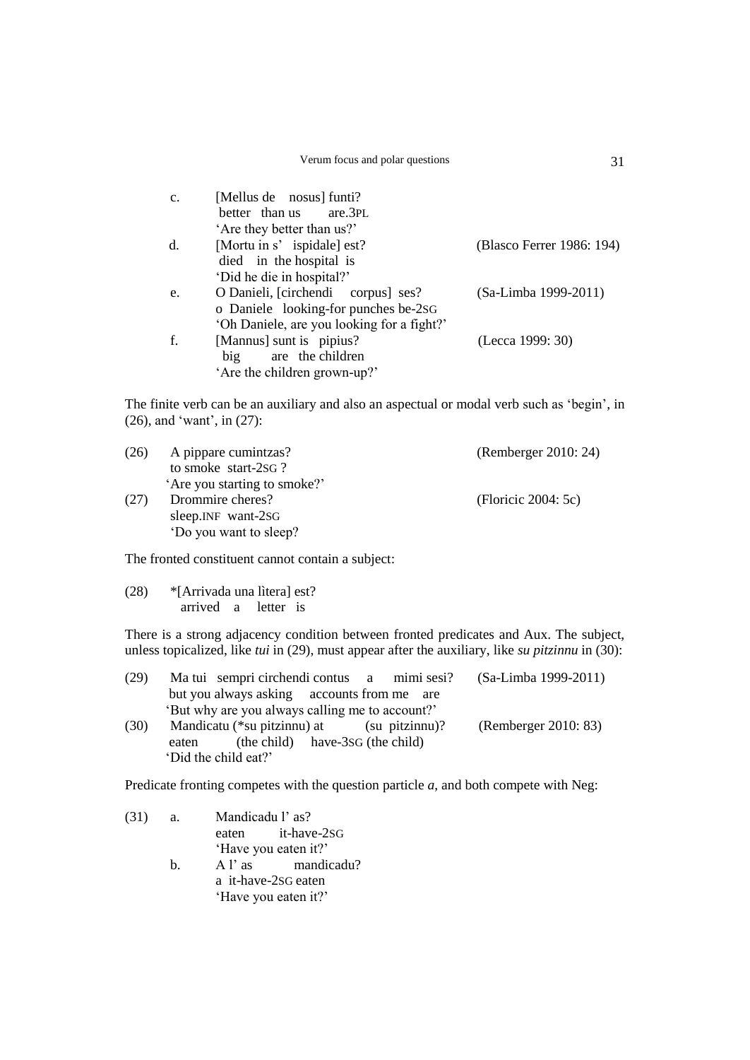| $\mathbf{c}$ . | [Mellus de nosus] funti?<br>better than us are.3PL |                           |
|----------------|----------------------------------------------------|---------------------------|
|                | 'Are they better than us?'                         |                           |
| d.             | [Mortu in s' ispidale] est?                        | (Blasco Ferrer 1986: 194) |
|                | died in the hospital is                            |                           |
|                | 'Did he die in hospital?'                          |                           |
| e.             | O Danieli, [circhendi corpus] ses?                 | (Sa-Limba 1999-2011)      |
|                | o Daniele looking-for punches be-2sG               |                           |
|                | 'Oh Daniele, are you looking for a fight?'         |                           |
| f.             | [Mannus] sunt is pipius?                           | (Lecca 1999: 30)          |
|                | are the children<br>big                            |                           |
|                | 'Are the children grown-up?'                       |                           |

The finite verb can be an auxiliary and also an aspectual or modal verb such as 'begin', in [\(26\),](#page-10-0) and 'want', in [\(27\):](#page-10-1)

<span id="page-10-1"></span><span id="page-10-0"></span>

| (26) | A pippare cumintzas?<br>to smoke start-2sG? | (Remberger 2010: 24)   |
|------|---------------------------------------------|------------------------|
|      | 'Are you starting to smoke?'                |                        |
| (27) | Drommire cheres?                            | (Floricic 2004: $5c$ ) |
|      | sleep. INF want-2sG                         |                        |
|      | 'Do you want to sleep?                      |                        |
|      |                                             |                        |

The fronted constituent cannot contain a subject:

<span id="page-10-3"></span>(28) \*[Arrivada una lìtera] est? arrived a letter is

There is a strong adjacency condition between fronted predicates and Aux. The subject, unless topicalized, like *tui* in (29), must appear after the auxiliary, like *su pitzinnu* in (30):

| (29) | Ma tui sempri circhendi contus a mimi sesi?     | (Sa-Limba 1999-2011)  |
|------|-------------------------------------------------|-----------------------|
|      | but you always asking accounts from me are      |                       |
|      | 'But why are you always calling me to account?' |                       |
| (20) | $M$ and $(3a)$ $(8a)$ $n(t)$ $(4)$              | (D <sub>embar</sub> ) |

(30) Mandicatu (\*su pitzinnu) at (su pitzinnu)? (Remberger 2010: 83) eaten (the child) have-3SG (the child) 'Did the child eat?'

Predicate fronting competes with the question particle *a*, and both compete with Neg:

- <span id="page-10-2"></span>(31) a. Mandicadu l' as? eaten it-have-2SG 'Have you eaten it?'
	- b. A l'as mandicadu? a it-have-2SG eaten 'Have you eaten it?'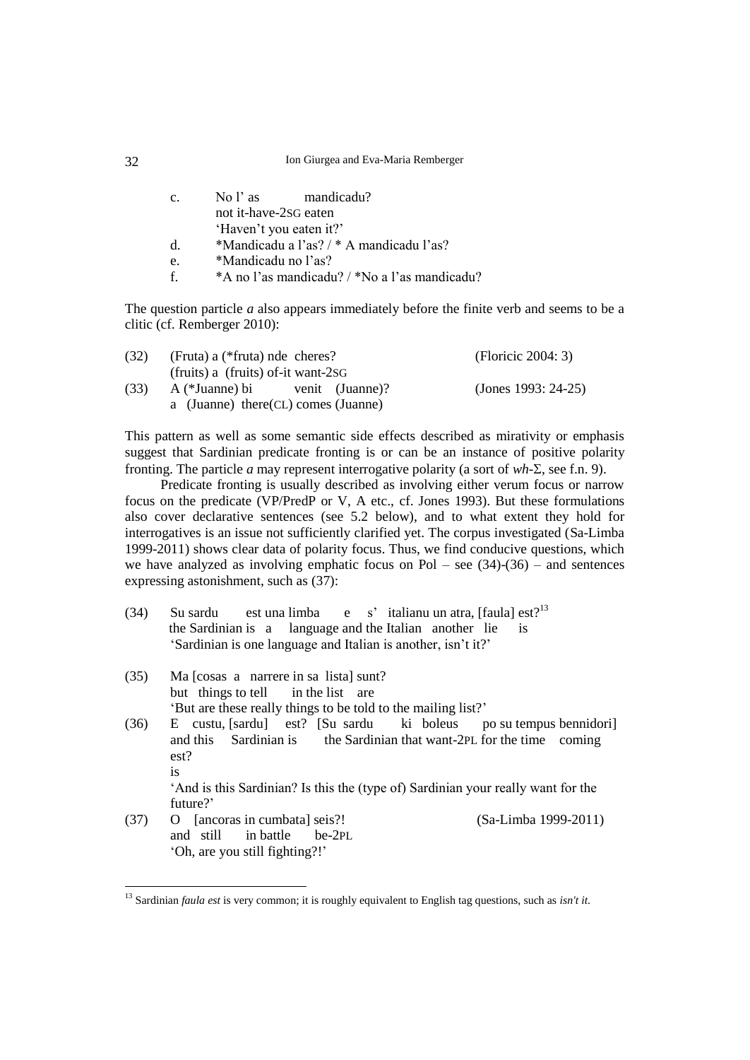| $\mathbf{C}$ . | No l'as                 | mandicadu?                               |
|----------------|-------------------------|------------------------------------------|
|                | not it-have-2sG eaten   |                                          |
|                | 'Haven't you eaten it?' |                                          |
| d              |                         | *Mandicadu a l'as? / * A mandicadu l'as? |

- e. \*Mandicadu no l'as?
- f. \*A no l'as mandicadu? / \*No a l'as mandicadu?

The question particle *a* also appears immediately before the finite verb and seems to be a clitic (cf. Remberger 2010):

| (32) | (Fruta) a (*fruta) nde cheres?                       | (Floricic 2004: 3)  |  |
|------|------------------------------------------------------|---------------------|--|
|      | $(\text{fruits})$ a $(\text{fruits})$ of-it want-2sG |                     |  |
| (33) | A (*Juanne) bi<br>venit (Juanne)?                    | (Jones 1993: 24-25) |  |
|      | a (Juanne) there $(CL)$ comes (Juanne)               |                     |  |

This pattern as well as some semantic side effects described as mirativity or emphasis suggest that Sardinian predicate fronting is or can be an instance of positive polarity fronting. The particle *a* may represent interrogative polarity (a sort of  $wh$ - $\Sigma$ , see f.n. [9\)](#page-6-1).

Predicate fronting is usually described as involving either verum focus or narrow focus on the predicate (VP/PredP or V, A etc., cf. Jones 1993). But these formulations also cover declarative sentences (see 5.2 below), and to what extent they hold for interrogatives is an issue not sufficiently clarified yet. The corpus investigated (Sa-Limba 1999-2011) shows clear data of polarity focus. Thus, we find conducive questions, which we have analyzed as involving emphatic focus on Pol – see  $(34)-(36)$  $(34)-(36)$  – and sentences expressing astonishment, such as [\(37\):](#page-11-2)

- <span id="page-11-0"></span>(34) Su sardu est una limba e s' italianu un atra, [faula]  $est<sup>13</sup>$  the Sardinian is a language and the Italian another lie is 'Sardinian is one language and Italian is another, isn't it?'
- (35) Ma [cosas a narrere in sa lista] sunt? but things to tell in the list are 'But are these really things to be told to the mailing list?'
- <span id="page-11-1"></span>(36) E custu, [sardu] est? [Su sardu ki boleus po su tempus bennidori] and this Sardinian is the Sardinian that want-2PL for the time coming est? is 'And is this Sardinian? Is this the (type of) Sardinian your really want for the future?'
- <span id="page-11-2"></span>(37) O [ancoras in cumbata] seis?! (Sa-Limba 1999-2011) and still in battle be-2PL 'Oh, are you still fighting?!'

<sup>13</sup> Sardinian *faula est* is very common; it is roughly equivalent to English tag questions, such as *isn't it*.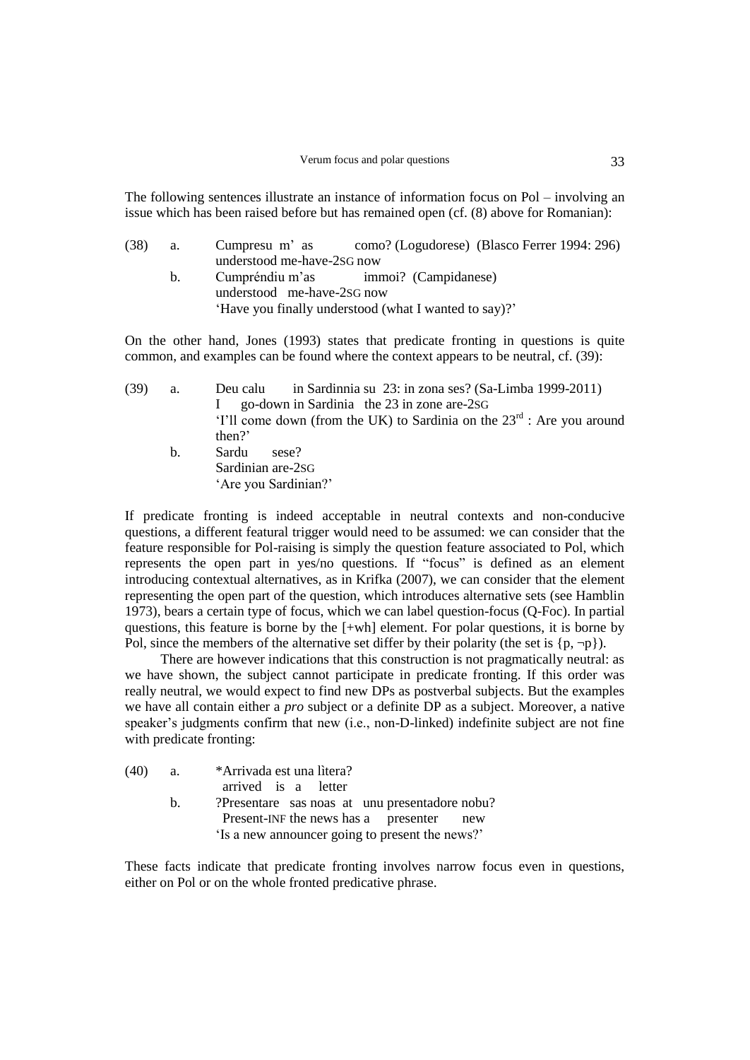The following sentences illustrate an instance of information focus on Pol – involving an issue which has been raised before but has remained open (cf. [\(8\)](#page-3-2) above for Romanian):

(38) a. Cumpresu m' as como? (Logudorese) (Blasco Ferrer 1994: 296) understood me-have-2SG now b. Cumpréndiu m'as immoi? (Campidanese) understood me-have-2SG now 'Have you finally understood (what I wanted to say)?'

On the other hand, Jones (1993) states that predicate fronting in questions is quite common, and examples can be found where the context appears to be neutral, cf. (39):

| (39) | a.             | Deu calu in Sardinnia su 23: in zona ses? (Sa-Limba 1999-2011)           |
|------|----------------|--------------------------------------------------------------------------|
|      |                | go-down in Sardinia the 23 in zone are-2sG                               |
|      |                | 'I'll come down (from the UK) to Sardinia on the $23rd$ : Are you around |
|      |                | then? $^{\prime}$                                                        |
|      | $\mathbf{b}$ . | Sardu<br>sese?                                                           |
|      |                | Sardinian are-2sG                                                        |
|      |                | 'Are you Sardinian?'                                                     |

If predicate fronting is indeed acceptable in neutral contexts and non-conducive questions, a different featural trigger would need to be assumed: we can consider that the feature responsible for Pol-raising is simply the question feature associated to Pol, which represents the open part in yes/no questions. If "focus" is defined as an element introducing contextual alternatives, as in Krifka (2007), we can consider that the element representing the open part of the question, which introduces alternative sets (see Hamblin 1973), bears a certain type of focus, which we can label question-focus (Q-Foc). In partial questions, this feature is borne by the [+wh] element. For polar questions, it is borne by Pol, since the members of the alternative set differ by their polarity (the set is  $\{p, \neg p\}$ ).

There are however indications that this construction is not pragmatically neutral: as we have shown, the subject cannot participate in predicate fronting. If this order was really neutral, we would expect to find new DPs as postverbal subjects. But the examples we have all contain either a *pro* subject or a definite DP as a subject. Moreover, a native speaker's judgments confirm that new (i.e., non-D-linked) indefinite subject are not fine with predicate fronting:

| (40) | а.          | *Arrivada est una litera?                       |  |  |
|------|-------------|-------------------------------------------------|--|--|
|      |             | arrived is a letter                             |  |  |
|      | $h_{\cdot}$ | ?Presentare sas noas at unu presentadore nobu?  |  |  |
|      |             | Present-INF the news has a presenter new        |  |  |
|      |             | 'Is a new announcer going to present the news?' |  |  |

These facts indicate that predicate fronting involves narrow focus even in questions, either on Pol or on the whole fronted predicative phrase.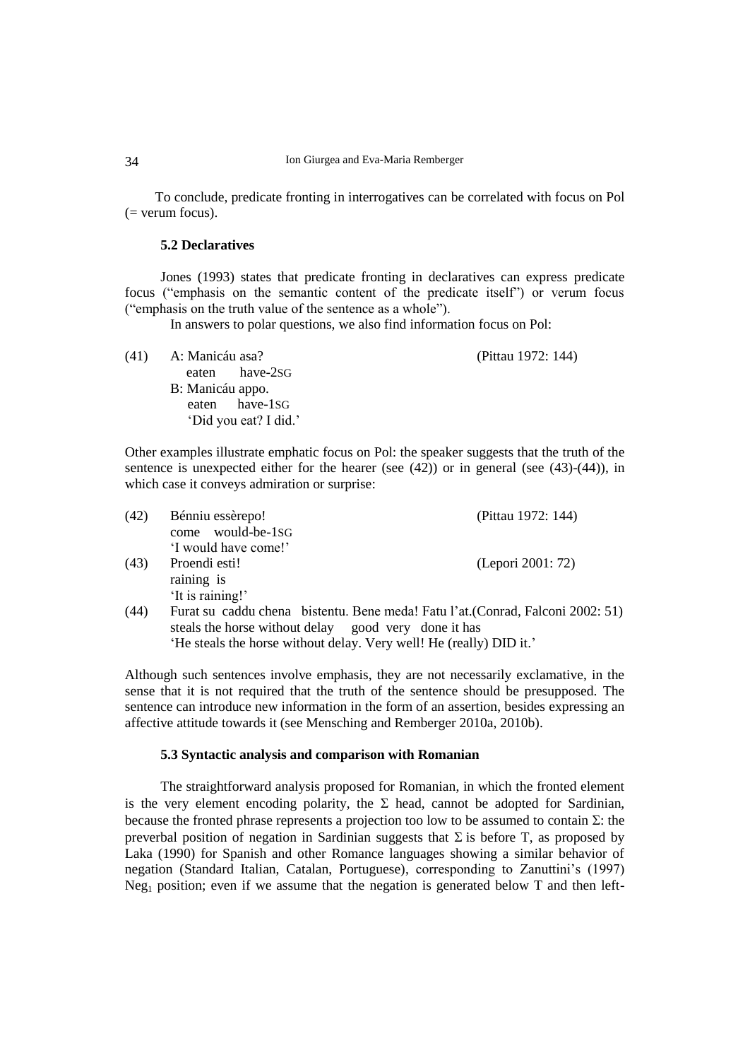To conclude, predicate fronting in interrogatives can be correlated with focus on Pol  $($  = verum focus).

### **5.2 Declaratives**

Jones (1993) states that predicate fronting in declaratives can express predicate focus ("emphasis on the semantic content of the predicate itself") or verum focus ("emphasis on the truth value of the sentence as a whole").

In answers to polar questions, we also find information focus on Pol:

|  | (41) A: Manicáu asa?  | (Pittau 1972: 144) |
|--|-----------------------|--------------------|
|  | eaten have-2sG        |                    |
|  | B: Manicáu appo.      |                    |
|  | eaten have-1sG        |                    |
|  | 'Did you eat? I did.' |                    |

Other examples illustrate emphatic focus on Pol: the speaker suggests that the truth of the sentence is unexpected either for the hearer (see [\(42\)\)](#page-13-0) or in general (see [\(43\)](#page-13-1)[-\(44\)\)](#page-13-2), in which case it conveys admiration or surprise:

<span id="page-13-1"></span><span id="page-13-0"></span>

| (42) | Bénniu essèrepo!                                                    | (Pittau 1972: 144)                                                              |  |  |
|------|---------------------------------------------------------------------|---------------------------------------------------------------------------------|--|--|
|      | come would-be-1sG                                                   |                                                                                 |  |  |
|      | 'I would have come!'                                                |                                                                                 |  |  |
| (43) | Proendi esti!                                                       | (Lepori 2001: 72)                                                               |  |  |
|      | raining is                                                          |                                                                                 |  |  |
|      | 'It is raining!'                                                    |                                                                                 |  |  |
| (44) |                                                                     | Furat su caddu chena bistentu. Bene meda! Fatu l'at. (Conrad, Falconi 2002: 51) |  |  |
|      | steals the horse without delay good very done it has                |                                                                                 |  |  |
|      | 'He steals the horse without delay. Very well! He (really) DID it.' |                                                                                 |  |  |

<span id="page-13-2"></span>Although such sentences involve emphasis, they are not necessarily exclamative, in the sense that it is not required that the truth of the sentence should be presupposed. The sentence can introduce new information in the form of an assertion, besides expressing an affective attitude towards it (see Mensching and Remberger 2010a, 2010b).

#### **5.3 Syntactic analysis and comparison with Romanian**

The straightforward analysis proposed for Romanian, in which the fronted element is the very element encoding polarity, the  $\Sigma$  head, cannot be adopted for Sardinian, because the fronted phrase represents a projection too low to be assumed to contain  $\Sigma$ : the preverbal position of negation in Sardinian suggests that  $\Sigma$  is before T, as proposed by Laka (1990) for Spanish and other Romance languages showing a similar behavior of negation (Standard Italian, Catalan, Portuguese), corresponding to Zanuttini's (1997) Neg<sub>1</sub> position; even if we assume that the negation is generated below  $T$  and then left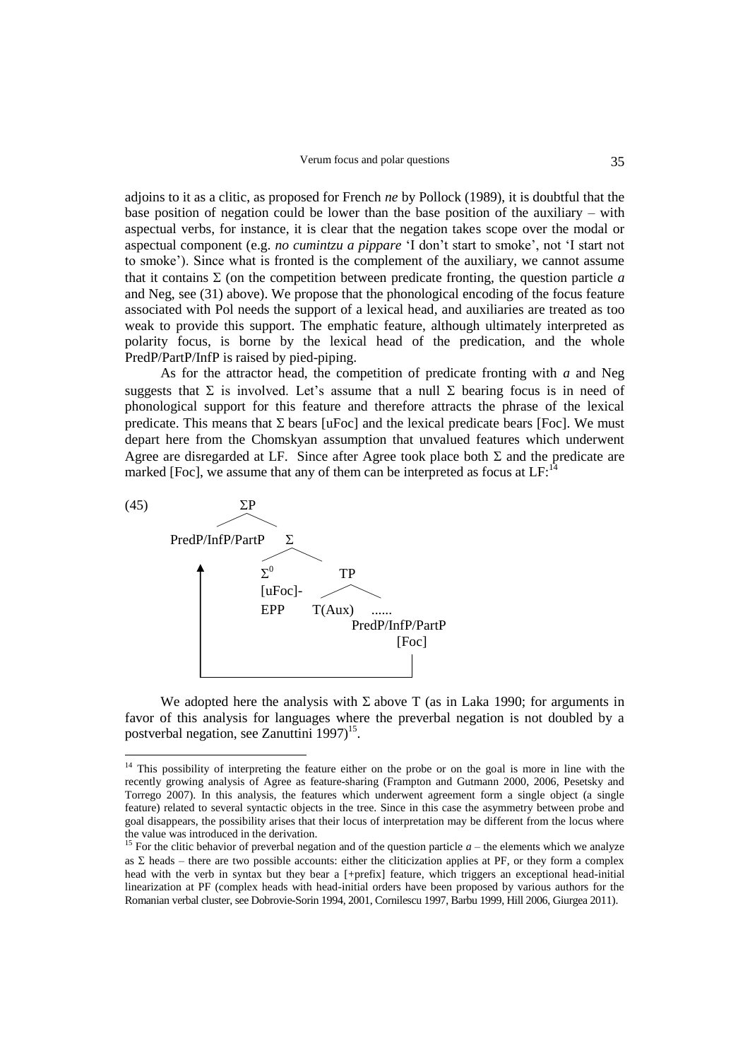adjoins to it as a clitic, as proposed for French *ne* by Pollock (1989), it is doubtful that the base position of negation could be lower than the base position of the auxiliary – with aspectual verbs, for instance, it is clear that the negation takes scope over the modal or aspectual component (e.g. *no cumintzu a pippare* 'I don't start to smoke', not 'I start not to smoke'). Since what is fronted is the complement of the auxiliary, we cannot assume that it contains  $\Sigma$  (on the competition between predicate fronting, the question particle  $a$ and Neg, see [\(31\)](#page-10-2) above). We propose that the phonological encoding of the focus feature associated with Pol needs the support of a lexical head, and auxiliaries are treated as too weak to provide this support. The emphatic feature, although ultimately interpreted as polarity focus, is borne by the lexical head of the predication, and the whole PredP/PartP/InfP is raised by pied-piping.

As for the attractor head, the competition of predicate fronting with *a* and Neg suggests that  $\Sigma$  is involved. Let's assume that a null  $\Sigma$  bearing focus is in need of phonological support for this feature and therefore attracts the phrase of the lexical predicate. This means that  $\Sigma$  bears [uFoc] and the lexical predicate bears [Foc]. We must depart here from the Chomskyan assumption that unvalued features which underwent Agree are disregarded at LF. Since after Agree took place both  $\Sigma$  and the predicate are marked [Foc], we assume that any of them can be interpreted as focus at  $LF:^{14}$ 

<span id="page-14-0"></span>

 $\overline{a}$ 

We adopted here the analysis with  $\Sigma$  above T (as in Laka 1990; for arguments in favor of this analysis for languages where the preverbal negation is not doubled by a postverbal negation, see Zanuttini  $1997)^{15}$ .

<sup>&</sup>lt;sup>14</sup> This possibility of interpreting the feature either on the probe or on the goal is more in line with the recently growing analysis of Agree as feature-sharing (Frampton and Gutmann 2000, 2006, Pesetsky and Torrego 2007). In this analysis, the features which underwent agreement form a single object (a single feature) related to several syntactic objects in the tree. Since in this case the asymmetry between probe and goal disappears, the possibility arises that their locus of interpretation may be different from the locus where the value was introduced in the derivation.

<sup>&</sup>lt;sup>15</sup> For the clitic behavior of preverbal negation and of the question particle  $a$  – the elements which we analyze as  $\Sigma$  heads – there are two possible accounts: either the cliticization applies at PF, or they form a complex head with the verb in syntax but they bear a [+prefix] feature, which triggers an exceptional head-initial linearization at PF (complex heads with head-initial orders have been proposed by various authors for the Romanian verbal cluster, see Dobrovie-Sorin 1994, 2001, Cornilescu 1997, Barbu 1999, Hill 2006, Giurgea 2011).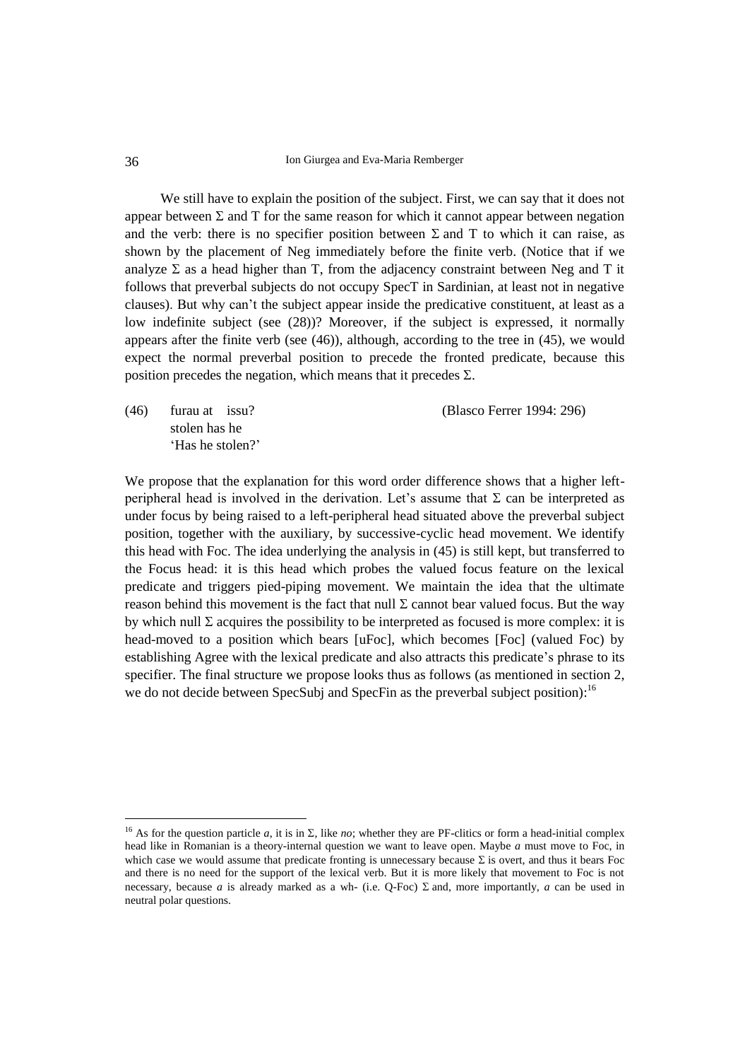We still have to explain the position of the subject. First, we can say that it does not appear between  $\Sigma$  and T for the same reason for which it cannot appear between negation and the verb: there is no specifier position between  $\Sigma$  and T to which it can raise, as shown by the placement of Neg immediately before the finite verb. (Notice that if we analyze  $\Sigma$  as a head higher than T, from the adjacency constraint between Neg and T it follows that preverbal subjects do not occupy SpecT in Sardinian, at least not in negative clauses). But why can't the subject appear inside the predicative constituent, at least as a low indefinite subject (see [\(28\)\)](#page-10-3)? Moreover, if the subject is expressed, it normally appears after the finite verb (see [\(46\)\)](#page-15-0), although, according to the tree in [\(45\),](#page-14-0) we would expect the normal preverbal position to precede the fronted predicate, because this position precedes the negation, which means that it precedes  $\Sigma$ .

<span id="page-15-0"></span>(46) furau at issu? (Blasco Ferrer 1994: 296) stolen has he 'Has he stolen?'

We propose that the explanation for this word order difference shows that a higher leftperipheral head is involved in the derivation. Let's assume that  $\Sigma$  can be interpreted as under focus by being raised to a left-peripheral head situated above the preverbal subject position, together with the auxiliary, by successive-cyclic head movement. We identify this head with Foc. The idea underlying the analysis in [\(45\)](#page-14-0) is still kept, but transferred to the Focus head: it is this head which probes the valued focus feature on the lexical predicate and triggers pied-piping movement. We maintain the idea that the ultimate reason behind this movement is the fact that null  $\Sigma$  cannot bear valued focus. But the way by which null  $\Sigma$  acquires the possibility to be interpreted as focused is more complex: it is head-moved to a position which bears [uFoc], which becomes [Foc] (valued Foc) by establishing Agree with the lexical predicate and also attracts this predicate's phrase to its specifier. The final structure we propose looks thus as follows (as mentioned in section 2, we do not decide between SpecSubj and SpecFin as the preverbal subject position):<sup>16</sup>

<sup>&</sup>lt;sup>16</sup> As for the question particle *a*, it is in  $\Sigma$ , like *no*; whether they are PF-clitics or form a head-initial complex head like in Romanian is a theory-internal question we want to leave open. Maybe *a* must move to Foc, in which case we would assume that predicate fronting is unnecessary because  $\Sigma$  is overt, and thus it bears Foc and there is no need for the support of the lexical verb. But it is more likely that movement to Foc is not necessary, because *a* is already marked as a wh- (i.e. Q-Foc)  $\Sigma$  and, more importantly, *a* can be used in neutral polar questions.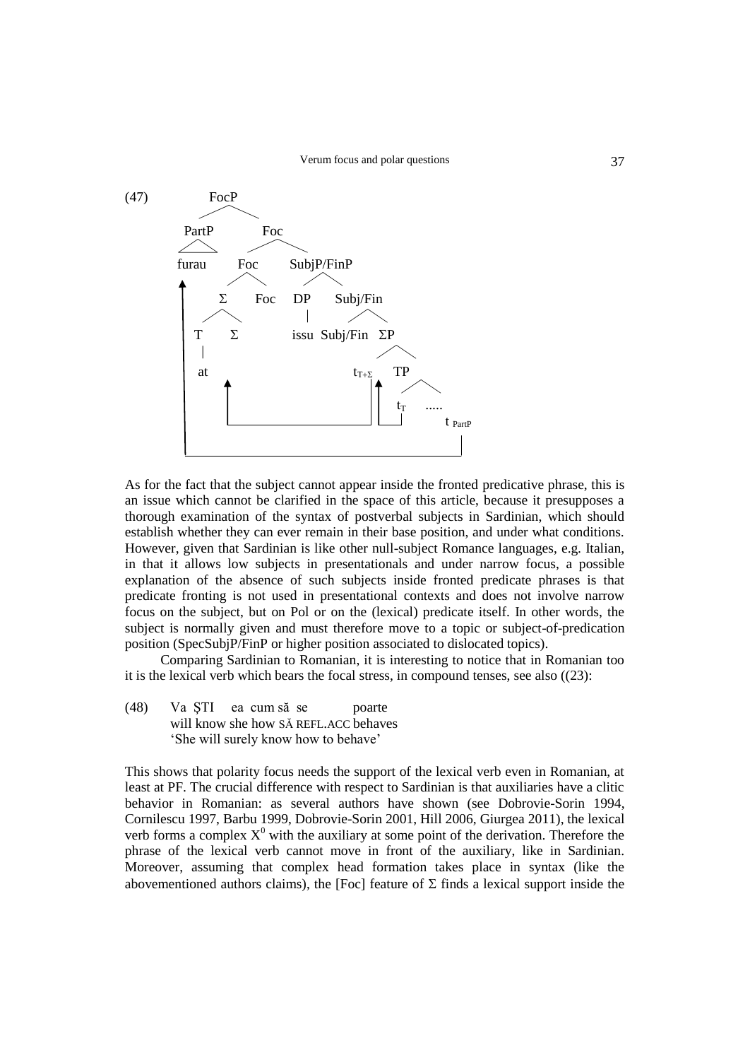Verum focus and polar questions 37



As for the fact that the subject cannot appear inside the fronted predicative phrase, this is an issue which cannot be clarified in the space of this article, because it presupposes a thorough examination of the syntax of postverbal subjects in Sardinian, which should establish whether they can ever remain in their base position, and under what conditions. However, given that Sardinian is like other null-subject Romance languages, e.g. Italian, in that it allows low subjects in presentationals and under narrow focus, a possible explanation of the absence of such subjects inside fronted predicate phrases is that predicate fronting is not used in presentational contexts and does not involve narrow focus on the subject, but on Pol or on the (lexical) predicate itself. In other words, the subject is normally given and must therefore move to a topic or subject-of-predication position (SpecSubjP/FinP or higher position associated to dislocated topics).

Comparing Sardinian to Romanian, it is interesting to notice that in Romanian too it is the lexical verb which bears the focal stress, in compound tenses, see also [\(\(23\):](#page-9-0)

(48) Va ŞTI ea cum să se poarte will know she how SĂ REFL.ACC behaves 'She will surely know how to behave'

This shows that polarity focus needs the support of the lexical verb even in Romanian, at least at PF. The crucial difference with respect to Sardinian is that auxiliaries have a clitic behavior in Romanian: as several authors have shown (see Dobrovie-Sorin 1994, Cornilescu 1997, Barbu 1999, Dobrovie-Sorin 2001, Hill 2006, Giurgea 2011), the lexical verb forms a complex  $X^0$  with the auxiliary at some point of the derivation. Therefore the phrase of the lexical verb cannot move in front of the auxiliary, like in Sardinian. Moreover, assuming that complex head formation takes place in syntax (like the abovementioned authors claims), the [Foc] feature of  $\Sigma$  finds a lexical support inside the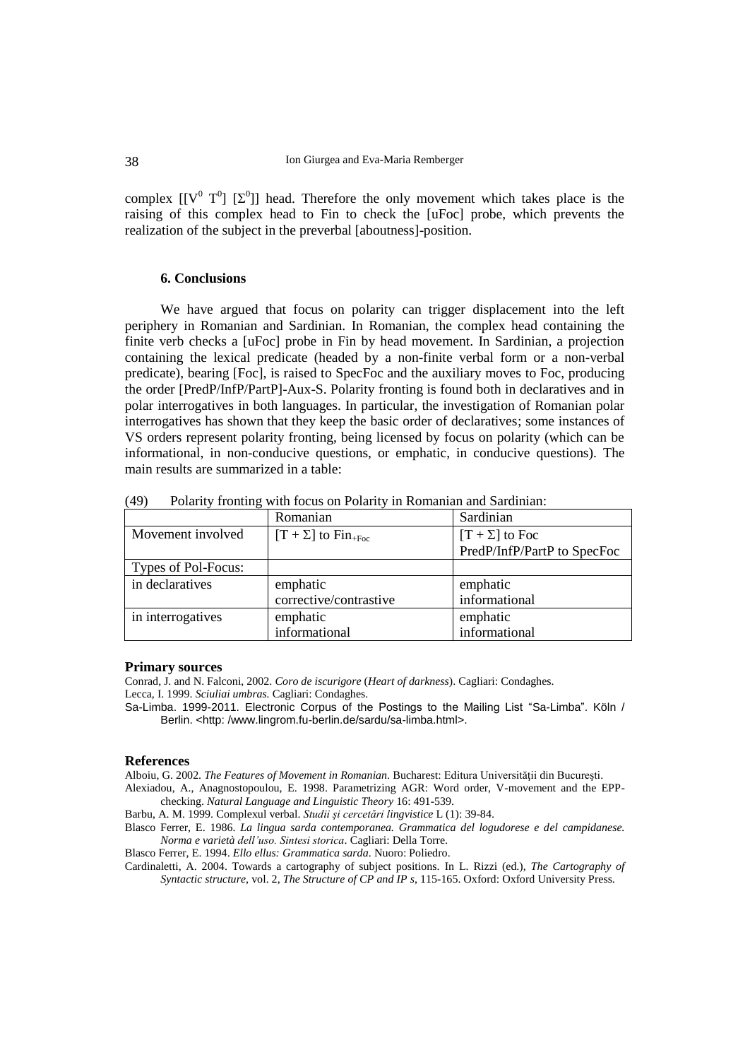complex  $[[V^0 T^0] [\Sigma^0]]$  head. Therefore the only movement which takes place is the raising of this complex head to Fin to check the [uFoc] probe, which prevents the realization of the subject in the preverbal [aboutness]-position.

#### **6. Conclusions**

We have argued that focus on polarity can trigger displacement into the left periphery in Romanian and Sardinian. In Romanian, the complex head containing the finite verb checks a [uFoc] probe in Fin by head movement. In Sardinian, a projection containing the lexical predicate (headed by a non-finite verbal form or a non-verbal predicate), bearing [Foc], is raised to SpecFoc and the auxiliary moves to Foc, producing the order [PredP/InfP/PartP]-Aux-S. Polarity fronting is found both in declaratives and in polar interrogatives in both languages. In particular, the investigation of Romanian polar interrogatives has shown that they keep the basic order of declaratives; some instances of VS orders represent polarity fronting, being licensed by focus on polarity (which can be informational, in non-conducive questions, or emphatic, in conducive questions). The main results are summarized in a table:

|                     | Romanian                              | Sardinian                   |
|---------------------|---------------------------------------|-----------------------------|
| Movement involved   | $[T + \Sigma]$ to Fin <sub>+Foc</sub> | $[T + \Sigma]$ to Foc       |
|                     |                                       | PredP/InfP/PartP to SpecFoc |
| Types of Pol-Focus: |                                       |                             |
| in declaratives     | emphatic                              | emphatic                    |
|                     | corrective/contrastive                | informational               |
| in interrogatives   | emphatic                              | emphatic                    |
|                     | informational                         | informational               |

(49) Polarity fronting with focus on Polarity in Romanian and Sardinian:

### **Primary sources**

Conrad, J. and N. Falconi, 2002. *Coro de iscurigore* (*Heart of darkness*). Cagliari: Condaghes. Lecca, I. 1999. *Sciuliai umbras.* Cagliari: Condaghes.

Sa-Limba. 1999-2011. Electronic Corpus of the Postings to the Mailing List "Sa-Limba". Köln / Berlin. <http: /www.lingrom.fu-berlin.de/sardu/sa-limba.html>.

#### **References**

Alboiu, G. 2002. *The Features of Movement in Romanian*. Bucharest: Editura Universităţii din Bucureşti. Alexiadou, A., Anagnostopoulou, E. 1998. Parametrizing AGR: Word order, V-movement and the EPP-

checking. *Natural Language and Linguistic Theory* 16: 491-539.

- Barbu, A. M. 1999. Complexul verbal. *Studii şi cercetări lingvistice* L (1): 39-84.
- Blasco Ferrer, E. 1986. *La lingua sarda contemporanea. Grammatica del logudorese e del campidanese. Norma e varietà dell'uso. Sintesi storica*. Cagliari: Della Torre.
- Blasco Ferrer, E. 1994. *Ello ellus: Grammatica sarda*. Nuoro: Poliedro.
- Cardinaletti, A. 2004. Towards a cartography of subject positions. In L. Rizzi (ed.), *The Cartography of Syntactic structure*, vol. 2, *The Structure of CP and IP s*, 115-165. Oxford: Oxford University Press.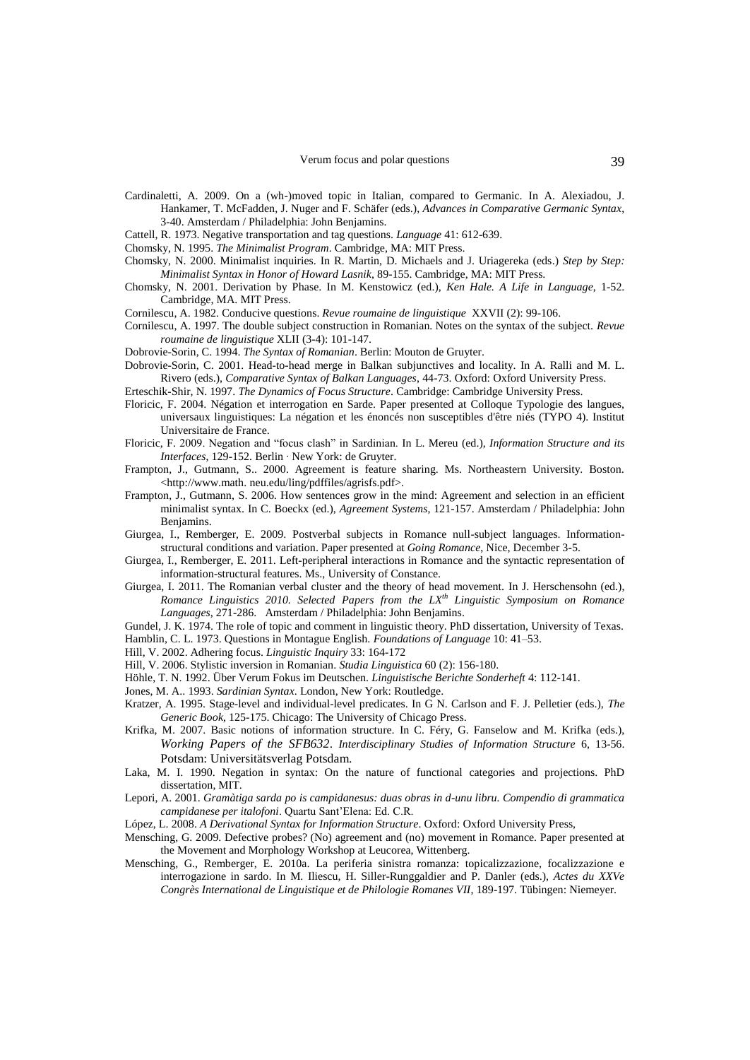- Cardinaletti, A. 2009. On a (wh-)moved topic in Italian, compared to Germanic. In A. Alexiadou, J. Hankamer, T. McFadden, J. Nuger and F. Schäfer (eds.), *Advances in Comparative Germanic Syntax*, 3-40. Amsterdam / Philadelphia: John Benjamins.
- Cattell, R. 1973. Negative transportation and tag questions. *Language* 41: 612-639.
- Chomsky, N. 1995. *The Minimalist Program*. Cambridge, MA: MIT Press.
- Chomsky, N. 2000. Minimalist inquiries. In R. Martin, D. Michaels and J. Uriagereka (eds.) *Step by Step: Minimalist Syntax in Honor of Howard Lasnik*, 89-155. Cambridge, MA: MIT Press.
- Chomsky, N. 2001. Derivation by Phase. In M. Kenstowicz (ed.), *Ken Hale. A Life in Language*, 1-52. Cambridge, MA. MIT Press.
- Cornilescu, A. 1982. Conducive questions. *Revue roumaine de linguistique* XXVII (2): 99-106.
- Cornilescu, A. 1997. The double subject construction in Romanian. Notes on the syntax of the subject. *Revue roumaine de linguistique* XLII (3-4): 101-147.
- Dobrovie-Sorin, C. 1994. *The Syntax of Romanian*. Berlin: Mouton de Gruyter.
- Dobrovie-Sorin, C. 2001. Head-to-head merge in Balkan subjunctives and locality. In A. Ralli and M. L. Rivero (eds.), *Comparative Syntax of Balkan Languages*, 44-73. Oxford: Oxford University Press.
- Erteschik-Shir, N. 1997. *The Dynamics of Focus Structure*. Cambridge: Cambridge University Press.
- Floricic, F. 2004. Négation et interrogation en Sarde. Paper presented at Colloque Typologie des langues, universaux linguistiques: La négation et les énoncés non susceptibles d'être niés (TYPO 4). Institut Universitaire de France.
- Floricic, F. 2009. Negation and "focus clash" in Sardinian. In L. Mereu (ed.), *Information Structure and its Interfaces*, 129-152. Berlin ∙ New York: de Gruyter.
- Frampton, J., Gutmann, S.. 2000. Agreement is feature sharing. Ms. Northeastern University. Boston. <http://www.math. neu.edu/ling/pdffiles/agrisfs.pdf>.
- Frampton, J., Gutmann, S. 2006. How sentences grow in the mind: Agreement and selection in an efficient minimalist syntax. In C. Boeckx (ed.), *Agreement Systems*, 121-157. Amsterdam / Philadelphia: John Benjamins.
- Giurgea, I., Remberger, E. 2009. Postverbal subjects in Romance null-subject languages. Informationstructural conditions and variation. Paper presented at *Going Romance*, Nice, December 3-5.
- Giurgea, I., Remberger, E. 2011. Left-peripheral interactions in Romance and the syntactic representation of information-structural features. Ms., University of Constance.
- Giurgea, I. 2011. The Romanian verbal cluster and the theory of head movement. In J. Herschensohn (ed.), *Romance Linguistics 2010. Selected Papers from the LXth Linguistic Symposium on Romance Languages*, 271-286. Amsterdam / Philadelphia: John Benjamins.
- Gundel, J. K. 1974. The role of topic and comment in linguistic theory. PhD dissertation, University of Texas. Hamblin, C. L. 1973. Questions in Montague English. *Foundations of Language* 10: 41–53.
- Hill, V. 2002. Adhering focus. *Linguistic Inquiry* 33: 164-172
- Hill, V. 2006. Stylistic inversion in Romanian. *Studia Linguistica* 60 (2): 156-180.
- Höhle, T. N. 1992. Über Verum Fokus im Deutschen. *Linguistische Berichte Sonderheft* 4: 112-141.
- Jones, M. A.. 1993. *Sardinian Syntax*. London, New York: Routledge.
- Kratzer, A. 1995. Stage-level and individual-level predicates. In G N. Carlson and F. J. Pelletier (eds.), *The Generic Book*, 125-175. Chicago: The University of Chicago Press.
- Krifka, M. 2007. Basic notions of information structure. In C. Féry, G. Fanselow and M. Krifka (eds.), *Working Papers of the SFB632*. *Interdisciplinary Studies of Information Structure* 6, 13-56. Potsdam: Universitätsverlag Potsdam.
- Laka, M. I. 1990. Negation in syntax: On the nature of functional categories and projections. PhD dissertation, MIT.
- Lepori, A. 2001. *Gramàtiga sarda po is campidanesus: duas obras in d-unu libru. Compendio di grammatica campidanese per italofoni*. Quartu Sant'Elena: Ed. C.R.
- López, L. 2008. *A Derivational Syntax for Information Structure*. Oxford: Oxford University Press,
- Mensching, G. 2009. Defective probes? (No) agreement and (no) movement in Romance. Paper presented at the Movement and Morphology Workshop at Leucorea, Wittenberg.
- Mensching, G., Remberger, E. 2010a. La periferia sinistra romanza: topicalizzazione, focalizzazione e interrogazione in sardo. In M. Iliescu, H. Siller-Runggaldier and P. Danler (eds.), *Actes du XXVe Congrès International de Linguistique et de Philologie Romanes VII*, 189-197*.* Tübingen: Niemeyer.